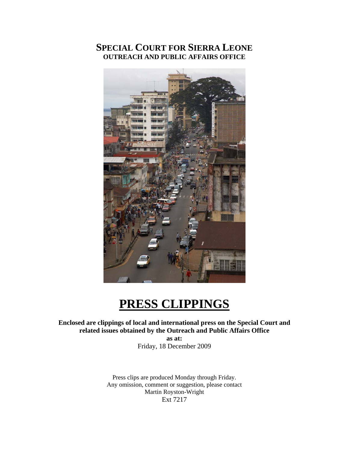# **SPECIAL COURT FOR SIERRA LEONE OUTREACH AND PUBLIC AFFAIRS OFFICE**



# **PRESS CLIPPINGS**

### **Enclosed are clippings of local and international press on the Special Court and related issues obtained by the Outreach and Public Affairs Office**

**as at:**  Friday, 18 December 2009

Press clips are produced Monday through Friday. Any omission, comment or suggestion, please contact Martin Royston-Wright Ext 7217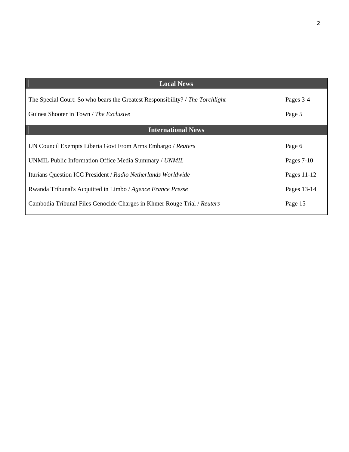| <b>Local News</b>                                                                                                       |                     |
|-------------------------------------------------------------------------------------------------------------------------|---------------------|
| The Special Court: So who bears the Greatest Responsibility? / The Torchlight<br>Guinea Shooter in Town / The Exclusive | Pages 3-4<br>Page 5 |
| <b>International News</b>                                                                                               |                     |
| UN Council Exempts Liberia Govt From Arms Embargo / Reuters                                                             | Page 6              |
| UNMIL Public Information Office Media Summary / UNMIL                                                                   | Pages $7-10$        |
| Iturians Question ICC President / Radio Netherlands Worldwide                                                           | Pages 11-12         |
| Rwanda Tribunal's Acquitted in Limbo / Agence France Presse                                                             | Pages 13-14         |
| Cambodia Tribunal Files Genocide Charges in Khmer Rouge Trial / Reuters                                                 | Page 15             |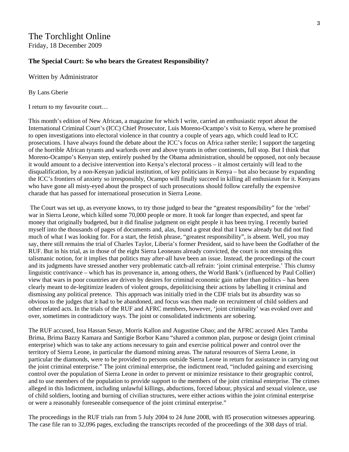### The Torchlight Online Friday, 18 December 2009

#### **The Special Court: So who bears the Greatest Responsibility?**

Written by Administrator

By Lans Gberie

I return to my favourite court…

This month's edition of New African, a magazine for which I write, carried an enthusiastic report about the International Criminal Court's (ICC) Chief Prosecutor, Luis Moreno-Ocampo's visit to Kenya, where he promised to open investigations into electoral violence in that country a couple of years ago, which could lead to ICC prosecutions. I have always found the debate about the ICC's focus on Africa rather sterile; I support the targeting of the horrible African tyrants and warlords over and above tyrants in other continents, full stop. But I think that Moreno-Ocampo's Kenyan step, entirely pushed by the Obama administration, should be opposed, not only because it would amount to a decisive intervention into Kenya's electoral process – it almost certainly will lead to the disqualification, by a non-Kenyan judicial institution, of key politicians in Kenya – but also because by expanding the ICC's frontiers of anxiety so irresponsibly, Ocampo will finally succeed in killing all enthusiasm for it. Kenyans who have gone all misty-eyed about the prospect of such prosecutions should follow carefully the expensive charade that has passed for international prosecution in Sierra Leone.

 The Court was set up, as everyone knows, to try those judged to bear the "greatest responsibility" for the 'rebel' war in Sierra Leone, which killed some 70,000 people or more. It took far longer than expected, and spent far money that originally budgeted, but it did finalise judgment on eight people it has been trying. I recently buried myself into the thousands of pages of documents and, alas, found a great deal that I knew already but did not find much of what I was looking for. For a start, the fetish phrase, "greatest responsibility", is absent. Well, you may say, there still remains the trial of Charles Taylor, Liberia's former President, said to have been the Godfather of the RUF. But in his trial, as in those of the eight Sierra Leoneans already convicted, the court is not stressing this talismanic notion, for it implies that politics may after-all have been an issue. Instead, the proceedings of the court and its judgments have stressed another very problematic catch-all refrain: 'joint criminal enterprise.' This clumsy linguistic contrivance – which has its provenance in, among others, the World Bank's (influenced by Paul Collier) view that wars in poor countries are driven by desires for criminal economic gain rather than politics – has been clearly meant to de-legitimize leaders of violent groups, depoliticising their actions by labelling it criminal and dismissing any political pretence. This approach was initially tried in the CDF trials but its absurdity was so obvious to the judges that it had to be abandoned, and focus was then made on recruitment of child soldiers and other related acts. In the trials of the RUF and AFRC members, however, 'joint criminality' was evoked over and over, sometimes in contradictory ways. The joint or consolidated indictments are sobering.

The RUF accused, Issa Hassan Sesay, Morris Kallon and Augustine Gbao; and the AFRC accused Alex Tamba Brima, Brima Bazzy Kamara and Santigie Borbor Kanu "shared a common plan, purpose or design (joint criminal enterprise) which was to take any actions necessary to gain and exercise political power and control over the territory of Sierra Leone, in particular the diamond mining areas. The natural resources of Sierra Leone, in particular the diamonds, were to be provided to persons outside Sierra Leone in return for assistance in carrying out the joint criminal enterprise." The joint criminal enterprise, the indictment read, "included gaining and exercising control over the population of Sierra Leone in order to prevent or minimize resistance to their geographic control, and to use members of the population to provide support to the members of the joint criminal enterprise. The crimes alleged in this Indictment, including unlawful killings, abductions, forced labour, physical and sexual violence, use of child soldiers, looting and burning of civilian structures, were either actions within the joint criminal enterprise or were a reasonably foreseeable consequence of the joint criminal enterprise."

The proceedings in the RUF trials ran from 5 July 2004 to 24 June 2008, with 85 prosecution witnesses appearing. The case file ran to 32,096 pages, excluding the transcripts recorded of the proceedings of the 308 days of trial.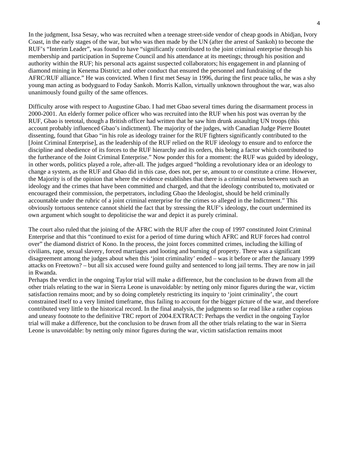In the judgment, Issa Sesay, who was recruited when a teenage street-side vendor of cheap goods in Abidjan, Ivory Coast, in the early stages of the war, but who was then made by the UN (after the arrest of Sankoh) to become the RUF's "Interim Leader", was found to have "significantly contributed to the joint criminal enterprise through his membership and participation in Supreme Council and his attendance at its meetings; through his position and authority within the RUF; his personal acts against suspected collaborators; his engagement in and planning of diamond mining in Kenema District; and other conduct that ensured the personnel and fundraising of the AFRC/RUF alliance." He was convicted. When I first met Sesay in 1996, during the first peace talks, he was a shy young man acting as bodyguard to Foday Sankoh. Morris Kallon, virtually unknown throughout the war, was also unanimously found guilty of the same offences.

Difficulty arose with respect to Augustine Gbao. I had met Gbao several times during the disarmament process in 2000-2001. An elderly former police officer who was recruited into the RUF when his post was overran by the RUF, Gbao is teetotal, though a British officer had written that he saw him drunk assaulting UN troops (this account probably influenced Gbao's indictment). The majority of the judges, with Canadian Judge Pierre Boutet dissenting, found that Gbao "in his role as ideology trainer for the RUF fighters significantly contributed to the [Joint Criminal Enterprise], as the leadership of the RUF relied on the RUF ideology to ensure and to enforce the discipline and obedience of its forces to the RUF hierarchy and its orders, this being a factor which contributed to the furtherance of the Joint Criminal Enterprise." Now ponder this for a moment: the RUF was guided by ideology, in other words, politics played a role, after-all. The judges argued "holding a revolutionary idea or an ideology to change a system, as the RUF and Gbao did in this case, does not, per se, amount to or constitute a crime. However, the Majority is of the opinion that where the evidence establishes that there is a criminal nexus between such an ideology and the crimes that have been committed and charged, and that the ideology contributed to, motivated or encouraged their commission, the perpetrators, including Gbao the Ideologist, should be held criminally accountable under the rubric of a joint criminal enterprise for the crimes so alleged in the Indictment." This obviously tortuous sentence cannot shield the fact that by stressing the RUF's ideology, the court undermined its own argument which sought to depoliticise the war and depict it as purely criminal.

The court also ruled that the joining of the AFRC with the RUF after the coup of 1997 constituted Joint Criminal Enterprise and that this "continued to exist for a period of time during which AFRC and RUF forces had control over" the diamond district of Kono. In the process, the joint forces committed crimes, including the killing of civilians, rape, sexual slavery, forced marriages and looting and burning of property. There was a significant disagreement among the judges about when this 'joint criminality' ended – was it before or after the January 1999 attacks on Freetown? – but all six accused were found guilty and sentenced to long jail terms. They are now in jail in Rwanda.

Perhaps the verdict in the ongoing Taylor trial will make a difference, but the conclusion to be drawn from all the other trials relating to the war in Sierra Leone is unavoidable: by netting only minor figures during the war, victim satisfaction remains moot; and by so doing completely restricting its inquiry to 'joint criminality', the court constrained itself to a very limited timeframe, thus failing to account for the bigger picture of the war, and therefore contributed very little to the historical record. In the final analysis, the judgments so far read like a rather copious and uneasy footnote to the definitive TRC report of 2004.EXTRACT: Perhaps the verdict in the ongoing Taylor trial will make a difference, but the conclusion to be drawn from all the other trials relating to the war in Sierra Leone is unavoidable: by netting only minor figures during the war, victim satisfaction remains moot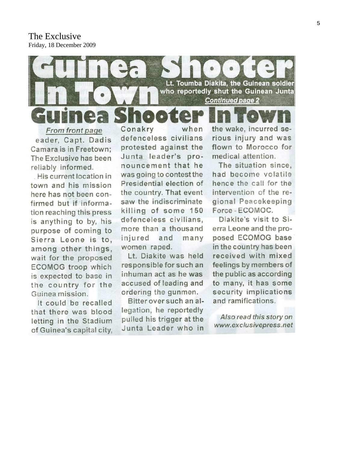The Exclusive Friday, 18 December 2009



eader, Capt. Dadis Camara is in Freetown: The Exclusive has been reliably informed.

His current location in town and his mission here has not been confirmed but if information reaching this press is anything to by, his purpose of coming to Sierra Leone is to. among other things, wait for the proposed **ECOMOG** troop which is expected to base in the country for the Guinea mission.

It could be recalled that there was blood letting in the Stadium of Guinea's capital city,

defenceless civilians protested against the Junta leader's pronouncement that he was going to contest the Presidential election of the country. That event saw the indiscriminate killing of some 150 defenceless civilians, more than a thousand injured and many women raped.

Lt. Diakite was held responsible for such an inhuman act as he was accused of leading and ordering the gunmen.

Bitter over such an allegation, he reportedly pulled his trigger at the Junta Leader who in

rious injury and was flown to Morocco for medical attention.

The situation since. had become volatile hence the call for the intervention of the regional Peacekeeping Force-ECOMOC.

Diakite's visit to Sierra Leone and the proposed ECOMOG base in the country has been received with mixed feelings by members of the public as according to many, it has some security implications and ramifications.

Also read this story on www.exclusivepress.net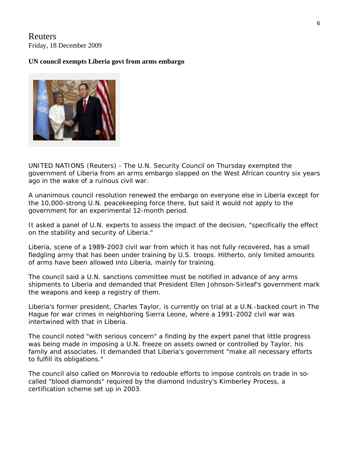### Reuters Friday, 18 December 2009

### **UN council exempts Liberia govt from arms embargo**



UNITED NATIONS (Reuters) - The U.N. Security Council on Thursday exempted the government of Liberia from an arms embargo slapped on the West African country six years ago in the wake of a ruinous civil war.

A unanimous council resolution renewed the embargo on everyone else in Liberia except for the 10,000-strong U.N. peacekeeping force there, but said it would not apply to the government for an experimental 12-month period.

It asked a panel of U.N. experts to assess the impact of the decision, "specifically the effect on the stability and security of Liberia."

Liberia, scene of a 1989-2003 civil war from which it has not fully recovered, has a small fledgling army that has been under training by U.S. troops. Hitherto, only limited amounts of arms have been allowed into Liberia, mainly for training.

The council said a U.N. sanctions committee must be notified in advance of any arms shipments to Liberia and demanded that President Ellen Johnson-Sirleaf's government mark the weapons and keep a registry of them.

Liberia's former president, Charles Taylor, is currently on trial at a U.N.-backed court in The Hague for war crimes in neighboring Sierra Leone, where a 1991-2002 civil war was intertwined with that in Liberia.

The council noted "with serious concern" a finding by the expert panel that little progress was being made in imposing a U.N. freeze on assets owned or controlled by Taylor, his family and associates. It demanded that Liberia's government "make all necessary efforts to fulfill its obligations."

The council also called on Monrovia to redouble efforts to impose controls on trade in socalled "blood diamonds" required by the diamond industry's Kimberley Process, a certification scheme set up in 2003.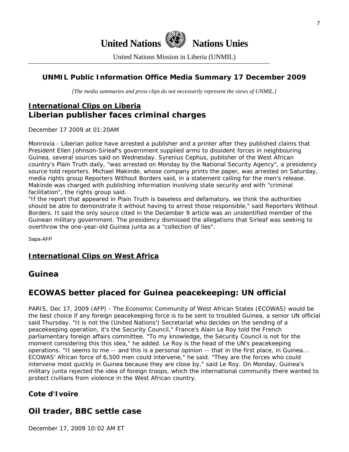

United Nations Mission in Liberia (UNMIL)

### **UNMIL Public Information Office Media Summary 17 December 2009**

*[The media summaries and press clips do not necessarily represent the views of UNMIL.]* 

# **International Clips on Liberia Liberian publisher faces criminal charges**

December 17 2009 at 01:20AM

Monrovia - Liberian police have arrested a publisher and a printer after they published claims that President Ellen Johnson-Sirleaf's government supplied arms to dissident forces in neighbouring Guinea, several sources said on Wednesday. Syrenius Cephus, publisher of the West African country's Plain Truth daily, "was arrested on Monday by the National Security Agency", a presidency source told reporters. Michael Makinde, whose company prints the paper, was arrested on Saturday, media rights group Reporters Without Borders said, in a statement calling for the men's release. Makinde was charged with publishing information involving state security and with "criminal facilitation", the rights group said.

"If the report that appeared in Plain Truth is baseless and defamatory, we think the authorities should be able to demonstrate it without having to arrest those responsible," said Reporters Without Borders. It said the only source cited in the December 9 article was an unidentified member of the Guinean military government. The presidency dismissed the allegations that Sirleaf was seeking to overthrow the one-year-old Guinea junta as a "collection of lies".

Sapa-AFP

### **International Clips on West Africa**

### **Guinea**

## **ECOWAS better placed for Guinea peacekeeping: UN official**

PARIS, Dec 17, 2009 (AFP) - The Economic Community of West African States (ECOWAS) would be the best choice if any foreign peacekeeping force is to be sent to troubled Guinea, a senior UN official said Thursday. "It is not the (United Nations') Secretariat who decides on the sending of a peacekeeping operation, it's the Security Council," France's Alain Le Roy told the French parliamentary foreign affairs committee. "To my knowledge, the Security Council is not for the moment considering this this idea," he added. Le Roy is the head of the UN's peacekeeping operations. "It seems to me -- and this is a personal opinion -- that in the first place, in Guinea... ECOWAS' African force of 6,500 men could intervene," he said. "They are the forces who could intervene most quickly in Guinea because they are close by," said Le Roy. On Monday, Guinea's military junta rejected the idea of foreign troops, which the international community there wanted to protect civilians from violence in the West African country.

### **Cote d'Ivoire**

### **Oil trader, BBC settle case**

December 17, 2009 10:02 AM ET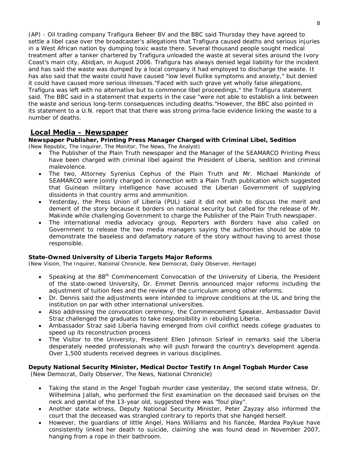(AP) - Oil trading company Trafigura Beheer BV and the BBC said Thursday they have agreed to settle a libel case over the broadcaster's allegations that Trafigura caused deaths and serious injuries in a West African nation by dumping toxic waste there. Several thousand people sought medical treatment after a tanker chartered by Trafigura unloaded the waste at several sites around the Ivory Coast's main city, Abidjan, in August 2006. Trafigura has always denied legal liability for the incident and has said the waste was dumped by a local company it had employed to discharge the waste. It has also said that the waste could have caused "low level flulike symptoms and anxiety," but denied it could have caused more serious illnesses."Faced with such grave yet wholly false allegations, Trafigura was left with no alternative but to commence libel proceedings," the Trafigura statement said. The BBC said in a statement that experts in the case "were not able to establish a link between the waste and serious long-term consequences including deaths."However, the BBC also pointed in its statement to a U.N. report that that there was strong prima-facie evidence linking the waste to a number of deaths.

#### **Local Media – Newspaper**

**Newspaper Publisher, Printing Press Manager Charged with Criminal Libel, Sedition**  (New Republic, The Inquirer, The Monitor, The News, The Analyst)

- The Publisher of the Plain Truth newspaper and the Manager of the SEAMARCO Printing Press have been charged with criminal libel against the President of Liberia, sedition and criminal malevolence.
- The two, Attorney Syrenius Cephus of the Plain Truth and Mr. Michael Mankinde of SEAMARCO were jointly charged in connection with a Plain Truth publication which suggested that Guinean military intelligence have accused the Liberian Government of supplying dissidents in that country arms and ammunition.
- Yesterday, the Press Union of Liberia (PUL) said it did not wish to discuss the merit and demerit of the story because it borders on national security but called for the release of Mr. Makinde while challenging Government to charge the Publisher of the Plain Truth newspaper.
- The international media advocacy group, Reporters with Borders have also called on Government to release the two media managers saying the authorities should be able to demonstrate the baseless and defamatory nature of the story without having to arrest those responsible.

#### **State-Owned University of Liberia Targets Major Reforms**

(New Vision, The Inquirer, National Chronicle, New Democrat, Daily Observer, Heritage)

- Speaking at the 88<sup>th</sup> Commencement Convocation of the University of Liberia, the President of the state-owned University, Dr. Emmet Dennis announced major reforms including the adjustment of tuition fees and the review of the curriculum among other reforms.
- Dr. Dennis said the adjustments were intended to improve conditions at the UL and bring the institution on par with other international universities.
- Also addressing the convocation ceremony, the Commencement Speaker, Ambassador David Straz challenged the graduates to take responsibility in rebuilding Liberia.
- Ambassador Straz said Liberia having emerged from civil conflict needs college graduates to speed up its reconstruction process
- The Visitor to the University, President Ellen Johnson Sirleaf in remarks said the Liberia desperately needed professionals who will push forward the country's development agenda. Over 1,500 students received degrees in various disciplines.

#### **Deputy National Security Minister, Medical Doctor Testify In Angel Togbah Murder Case**  (New Democrat, Daily Observer, The News, National Chronicle)

- Taking the stand in the Angel Togbah murder case yesterday, the second state witness, Dr. Wilhelmina Jallah, who performed the first examination on the deceased said bruises on the neck and genital of the 13-year old, suggested there was "foul play".
- Another state witness, Deputy National Security Minister, Peter Zayzay also informed the court that the deceased was strangled contrary to reports that she hanged herself.
- However, the guardians of little Angel, Hans Williams and his fiancée, Mardea Paykue have consistently linked her death to suicide, claiming she was found dead in November 2007, hanging from a rope in their bathroom.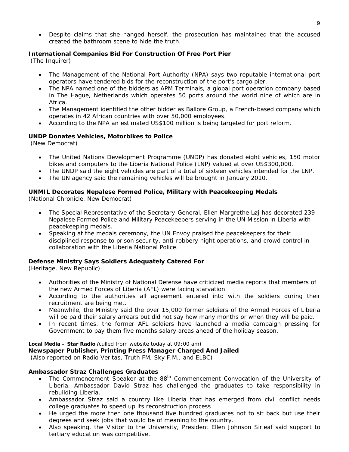• Despite claims that she hanged herself, the prosecution has maintained that the accused created the bathroom scene to hide the truth.

#### **International Companies Bid For Construction Of Free Port Pier**

(The Inquirer)

- The Management of the National Port Authority (NPA) says two reputable international port operators have tendered bids for the reconstruction of the port's cargo pier.
- The NPA named one of the bidders as APM Terminals, a global port operation company based in The Hague, Netherlands which operates 50 ports around the world nine of which are in Africa.
- The Management identified the other bidder as Ballore Group, a French-based company which operates in 42 African countries with over 50,000 employees.
- According to the NPA an estimated US\$100 million is being targeted for port reform.

#### **UNDP Donates Vehicles, Motorbikes to Police**

(New Democrat)

- The United Nations Development Programme (UNDP) has donated eight vehicles, 150 motor bikes and computers to the Liberia National Police (LNP) valued at over US\$300,000.
- The UNDP said the eight vehicles are part of a total of sixteen vehicles intended for the LNP.
- The UN agency said the remaining vehicles will be brought in January 2010.

#### **UNMIL Decorates Nepalese Formed Police, Military with Peacekeeping Medals**

(National Chronicle, New Democrat)

- The Special Representative of the Secretary-General, Ellen Margrethe Løj has decorated 239 Nepalese Formed Police and Military Peacekeepers serving in the UN Mission in Liberia with peacekeeping medals.
- Speaking at the medals ceremony, the UN Envoy praised the peacekeepers for their disciplined response to prison security, anti-robbery night operations, and crowd control in collaboration with the Liberia National Police.

#### **Defense Ministry Says Soldiers Adequately Catered For**

(Heritage, New Republic)

- Authorities of the Ministry of National Defense have criticized media reports that members of the new Armed Forces of Liberia (AFL) were facing starvation.
- According to the authorities all agreement entered into with the soldiers during their recruitment are being met.
- Meanwhile, the Ministry said the over 15,000 former soldiers of the Armed Forces of Liberia will be paid their salary arrears but did not say how many months or when they will be paid.
- In recent times, the former AFL soldiers have launched a media campaign pressing for Government to pay them five months salary areas ahead of the holiday season.

#### **Local Media – Star Radio** *(culled from website today at 09:00 am)*

**Newspaper Publisher, Printing Press Manager Charged And Jailed** 

 *(Also reported on Radio Veritas, Truth FM, Sky F.M., and ELBC)*

#### **Ambassador Straz Challenges Graduates**

- The Commencement Speaker at the 88<sup>th</sup> Commencement Convocation of the University of Liberia, Ambassador David Straz has challenged the graduates to take responsibility in rebuilding Liberia.
- Ambassador Straz said a country like Liberia that has emerged from civil conflict needs college graduates to speed up its reconstruction process
- He urged the more then one thousand five hundred graduates not to sit back but use their degrees and seek jobs that would be of meaning to the country.
- Also speaking, the Visitor to the University, President Ellen Johnson Sirleaf said support to tertiary education was competitive.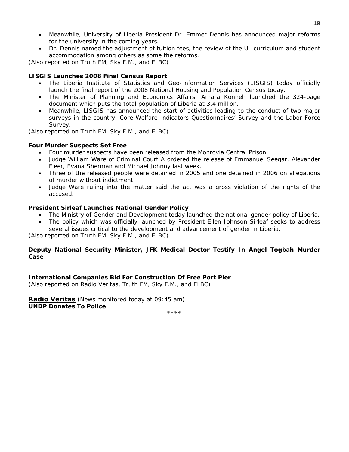- Meanwhile, University of Liberia President Dr. Emmet Dennis has announced major reforms for the university in the coming years.
- Dr. Dennis named the adjustment of tuition fees, the review of the UL curriculum and student accommodation among others as some the reforms.

*(Also reported on Truth FM, Sky F.M., and ELBC)*

#### **LISGIS Launches 2008 Final Census Report**

- The Liberia Institute of Statistics and Geo-Information Services (LISGIS) today officially launch the final report of the 2008 National Housing and Population Census today.
- The Minister of Planning and Economics Affairs, Amara Konneh launched the 324-page document which puts the total population of Liberia at 3.4 million.
- Meanwhile, LISGIS has announced the start of activities leading to the conduct of two major surveys in the country, Core Welfare Indicators Questionnaires' Survey and the Labor Force Survey.

*(Also reported on Truth FM, Sky F.M., and ELBC)*

#### **Four Murder Suspects Set Free**

- Four murder suspects have been released from the Monrovia Central Prison.
- Judge William Ware of Criminal Court A ordered the release of Emmanuel Seegar, Alexander Fleer, Evana Sherman and Michael Johnny last week.
- Three of the released people were detained in 2005 and one detained in 2006 on allegations of murder without indictment.
- Judge Ware ruling into the matter said the act was a gross violation of the rights of the accused.

#### **President Sirleaf Launches National Gender Policy**

- The Ministry of Gender and Development today launched the national gender policy of Liberia.
- The policy which was officially launched by President Ellen Johnson Sirleaf seeks to address

several issues critical to the development and advancement of gender in Liberia.

*(Also reported on Truth FM, Sky F.M., and ELBC)*

#### **Deputy National Security Minister, JFK Medical Doctor Testify In Angel Togbah Murder Case**

**International Companies Bid For Construction Of Free Port Pier** 

*(Also reported on Radio Veritas, Truth FM, Sky F.M., and ELBC)*

**Radio Veritas** *(News monitored today at 09:45 am)* **UNDP Donates To Police** 

\*\*\*\*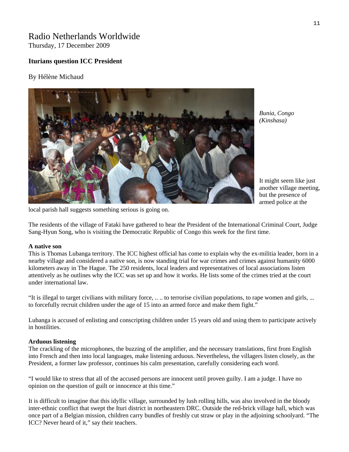### Radio Netherlands Worldwide Thursday, 17 December 2009

### **Iturians question ICC President**

#### By Hélène Michaud



*Bunia, Congo (Kinshasa)* 

It might seem like just another village m eeting, but the presence o f armed police at the

local parish hall suggests something serious is going on.

The residents of the village of Fataki have gathered to hear the President of the International Criminal Court, Judge Sang-Hyun Song, who is visiting the Democratic Republic of Congo this week for the first time.

#### **A native son**

This is Thomas Lubanga territory. The ICC highest official has come to explain why the ex-militia leader, born in a nearby village and considered a native son, is now standing trial for war crimes and crimes against humanity 6000 kilometers away in The Hague. The 250 residents, local leaders and representatives of local associations listen attentively as he outlines why the ICC was set up and how it works. He lists some of the crimes tried at the court under international law.

"It is illegal to target civilians with military force, .. .. to terrorise civilian populations, to rape women and girls, ... to forcefully recruit children under the age of 15 into an armed force and make them fight."

Lubanga is accused of enlisting and conscripting children under 15 years old and using them to participate actively in hostilities.

#### **Arduous listening**

The crackling of the microphones, the buzzing of the amplifier, and the necessary translations, first from English into French and then into local languages, make listening arduous. Nevertheless, the villagers listen closely, as the President, a former law professor, continues his calm presentation, carefully considering each word.

"I would like to stress that all of the accused persons are innocent until proven guilty. I am a judge. I have no opinion on the question of guilt or innocence at this time."

It is difficult to imagine that this idyllic village, surrounded by lush rolling hills, was also involved in the bloody inter-ethnic conflict that swept the Ituri district in northeastern DRC. Outside the red-brick village hall, which was once part of a Belgian mission, children carry bundles of freshly cut straw or play in the adjoining schoolyard. "The ICC? Never heard of it," say their teachers.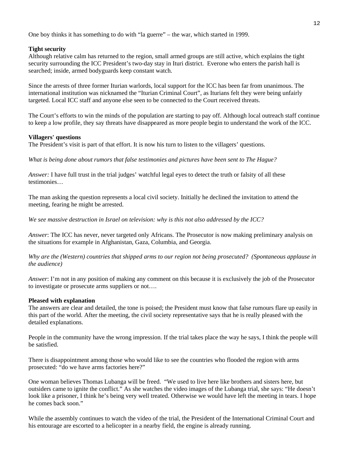One boy thinks it has something to do with "la guerre" – the war, which started in 1999.

#### **Tight security**

Although relative calm has returned to the region, small armed groups are still active, which explains the tight security surrounding the ICC President's two-day stay in Ituri district. Everone who enters the parish hall is searched; inside, armed bodyguards keep constant watch.

Since the arrests of three former Iturian warlords, local support for the ICC has been far from unanimous. The international institution was nicknamed the "Iturian Criminal Court", as Iturians felt they were being unfairly targeted. Local ICC staff and anyone else seen to be connected to the Court received threats.

The Court's efforts to win the minds of the population are starting to pay off. Although local outreach staff continue to keep a low profile, they say threats have disappeared as more people begin to understand the work of the ICC.

#### **Villagers' questions**

The President's visit is part of that effort. It is now his turn to listen to the villagers' questions.

*What is being done about rumors that false testimonies and pictures have been sent to The Hague?* 

*Answer:* I have full trust in the trial judges' watchful legal eyes to detect the truth or falsity of all these testimonies…

The man asking the question represents a local civil society. Initially he declined the invitation to attend the meeting, fearing he might be arrested.

*We see massive destruction in Israel on television: why is this not also addressed by the ICC?*

*Answer*: The ICC has never, never targeted only Africans. The Prosecutor is now making preliminary analysis on the situations for example in Afghanistan, Gaza, Columbia, and Georgia.

*Why are the (Western) countries that shipped arms to our region not being prosecuted? (Spontaneous applause in the audience)*

*Answer*: I'm not in any position of making any comment on this because it is exclusively the job of the Prosecutor to investigate or prosecute arms suppliers or not….

#### **Pleased with explanation**

The answers are clear and detailed, the tone is poised; the President must know that false rumours flare up easily in this part of the world. After the meeting, the civil society representative says that he is really pleased with the detailed explanations.

People in the community have the wrong impression. If the trial takes place the way he says, I think the people will be satisfied.

There is disappointment among those who would like to see the countries who flooded the region with arms prosecuted: "do we have arms factories here?"

One woman believes Thomas Lubanga will be freed. "We used to live here like brothers and sisters here, but outsiders came to ignite the conflict." As she watches the video images of the Lubanga trial, she says: "He doesn't look like a prisoner, I think he's being very well treated. Otherwise we would have left the meeting in tears. I hope he comes back soon."

While the assembly continues to watch the video of the trial, the President of the International Criminal Court and his entourage are escorted to a helicopter in a nearby field, the engine is already running.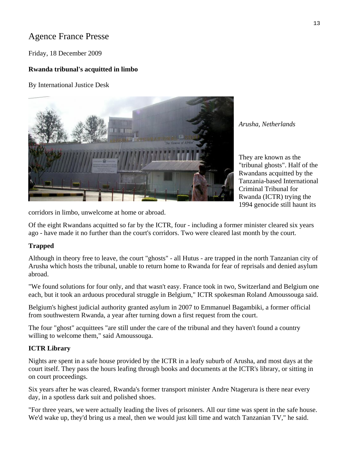# Agence France Presse

Friday, 18 December 2009

### **Rwanda tribunal's acquitted in limbo**

By International Justice Desk



*Arusha, Netherlands* 

They are known as the "tribunal ghosts". Half of the Rwandans acquitted by the Tanzania-based International Criminal Tribunal for Rwanda (ICTR) trying the 1994 genocide still haunt its

corridors in limbo, unwelcome at home or abroad.

Of the eight Rwandans acquitted so far by the ICTR, four - including a former minister cleared six years ago - have made it no further than the court's corridors. Two were cleared last month by the court.

#### **Trapped**

Although in theory free to leave, the court "ghosts" - all Hutus - are trapped in the north Tanzanian city of Arusha which hosts the tribunal, unable to return home to Rwanda for fear of reprisals and denied asylum abroad.

"We found solutions for four only, and that wasn't easy. France took in two, Switzerland and Belgium one each, but it took an arduous procedural struggle in Belgium," ICTR spokesman Roland Amoussouga said.

Belgium's highest judicial authority granted asylum in 2007 to Emmanuel Bagambiki, a former official from southwestern Rwanda, a year after turning down a first request from the court.

The four "ghost" acquittees "are still under the care of the tribunal and they haven't found a country willing to welcome them," said Amoussouga.

### **ICTR Library**

Nights are spent in a safe house provided by the ICTR in a leafy suburb of Arusha, and most days at the court itself. They pass the hours leafing through books and documents at the ICTR's library, or sitting in on court proceedings.

Six years after he was cleared, Rwanda's former transport minister Andre Ntagerura is there near every day, in a spotless dark suit and polished shoes.

"For three years, we were actually leading the lives of prisoners. All our time was spent in the safe house. We'd wake up, they'd bring us a meal, then we would just kill time and watch Tanzanian TV," he said.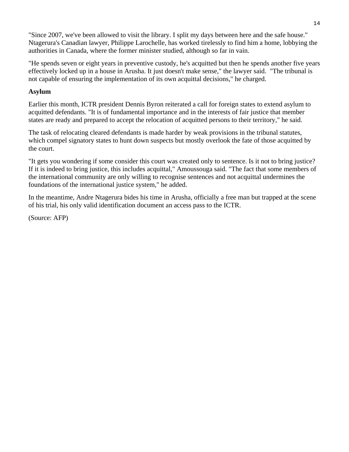"Since 2007, we've been allowed to visit the library. I split my days between here and the safe house." Ntagerura's Canadian lawyer, Philippe Larochelle, has worked tirelessly to find him a home, lobbying the authorities in Canada, where the former minister studied, although so far in vain.

"He spends seven or eight years in preventive custody, he's acquitted but then he spends another five years effectively locked up in a house in Arusha. It just doesn't make sense," the lawyer said. "The tribunal is not capable of ensuring the implementation of its own acquittal decisions," he charged.

### **Asylum**

Earlier this month, ICTR president Dennis Byron reiterated a call for foreign states to extend asylum to acquitted defendants. "It is of fundamental importance and in the interests of fair justice that member states are ready and prepared to accept the relocation of acquitted persons to their territory," he said.

The task of relocating cleared defendants is made harder by weak provisions in the tribunal statutes, which compel signatory states to hunt down suspects but mostly overlook the fate of those acquitted by the court.

"It gets you wondering if some consider this court was created only to sentence. Is it not to bring justice? If it is indeed to bring justice, this includes acquittal," Amoussouga said. "The fact that some members of the international community are only willing to recognise sentences and not acquittal undermines the foundations of the international justice system," he added.

In the meantime, Andre Ntagerura bides his time in Arusha, officially a free man but trapped at the scene of his trial, his only valid identification document an access pass to the ICTR.

(Source: AFP)